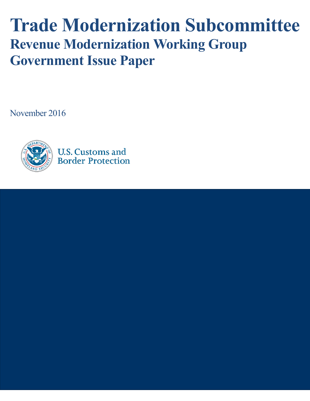# **Trade Modernization Subcommittee Revenue Modernization Working Group Government Issue Paper**

November 2016



**U.S. Customs and Border Protection** 

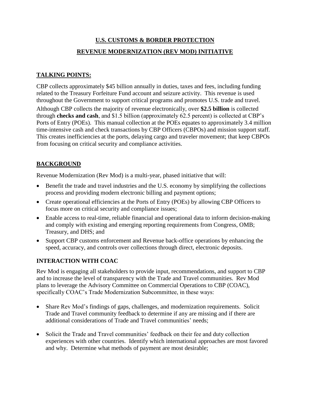## **U.S. CUSTOMS & BORDER PROTECTION REVENUE MODERNIZATION (REV MOD) INITIATIVE**

#### **TALKING POINTS:**

CBP collects approximately \$45 billion annually in duties, taxes and fees, including funding related to the Treasury Forfeiture Fund account and seizure activity. This revenue is used throughout the Government to support critical programs and promotes U.S. trade and travel.

Although CBP collects the majority of revenue electronically, over **\$2.5 billion** is collected through **checks and cash**, and \$1.5 billion (approximately 62.5 percent) is collected at CBP's Ports of Entry (POEs). This manual collection at the POEs equates to approximately 3.4 million time-intensive cash and check transactions by CBP Officers (CBPOs) and mission support staff. This creates inefficiencies at the ports, delaying cargo and traveler movement; that keep CBPOs from focusing on critical security and compliance activities.

#### **BACKGROUND**

Revenue Modernization (Rev Mod) is a multi-year, phased initiative that will:

- Benefit the trade and travel industries and the U.S. economy by simplifying the collections process and providing modern electronic billing and payment options;
- Create operational efficiencies at the Ports of Entry (POEs) by allowing CBP Officers to focus more on critical security and compliance issues;
- Enable access to real-time, reliable financial and operational data to inform decision-making and comply with existing and emerging reporting requirements from Congress, OMB; Treasury, and DHS; and
- Support CBP customs enforcement and Revenue back-office operations by enhancing the speed, accuracy, and controls over collections through direct, electronic deposits.

#### **INTERACTION WITH COAC**

Rev Mod is engaging all stakeholders to provide input, recommendations, and support to CBP and to increase the level of transparency with the Trade and Travel communities. Rev Mod plans to leverage the Advisory Committee on Commercial Operations to CBP (COAC), specifically COAC's Trade Modernization Subcommittee, in these ways:

- Share Rev Mod's findings of gaps, challenges, and modernization requirements. Solicit Trade and Travel community feedback to determine if any are missing and if there are additional considerations of Trade and Travel communities' needs;
- Solicit the Trade and Travel communities' feedback on their fee and duty collection experiences with other countries. Identify which international approaches are most favored and why. Determine what methods of payment are most desirable;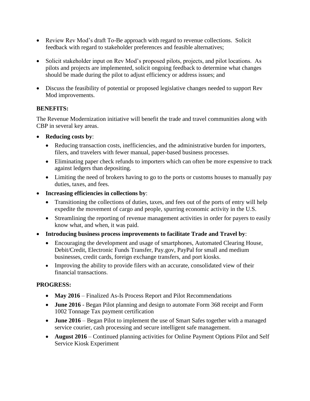- Review Rev Mod's draft To-Be approach with regard to revenue collections. Solicit feedback with regard to stakeholder preferences and feasible alternatives;
- Solicit stakeholder input on Rev Mod's proposed pilots, projects, and pilot locations. As pilots and projects are implemented, solicit ongoing feedback to determine what changes should be made during the pilot to adjust efficiency or address issues; and
- Discuss the feasibility of potential or proposed legislative changes needed to support Rev Mod improvements.

#### **BENEFITS:**

The Revenue Modernization initiative will benefit the trade and travel communities along with CBP in several key areas.

- **Reducing costs by**:
	- Reducing transaction costs, inefficiencies, and the administrative burden for importers, filers, and travelers with fewer manual, paper-based business processes.
	- Eliminating paper check refunds to importers which can often be more expensive to track against ledgers than depositing.
	- Limiting the need of brokers having to go to the ports or customs houses to manually pay duties, taxes, and fees.
- **Increasing efficiencies in collections by**:
	- Transitioning the collections of duties, taxes, and fees out of the ports of entry will help expedite the movement of cargo and people, spurring economic activity in the U.S.
	- Streamlining the reporting of revenue management activities in order for payers to easily know what, and when, it was paid.
- **Introducing business process improvements to facilitate Trade and Travel by**:
	- Encouraging the development and usage of smartphones, Automated Clearing House, Debit/Credit, Electronic Funds Transfer, Pay.gov, PayPal for small and medium businesses, credit cards, foreign exchange transfers, and port kiosks.
	- Improving the ability to provide filers with an accurate, consolidated view of their financial transactions.

### **PROGRESS:**

- May 2016 Finalized As-Is Process Report and Pilot Recommendations
- **June 2016** Began Pilot planning and design to automate Form 368 receipt and Form 1002 Tonnage Tax payment certification
- **June 2016** Began Pilot to implement the use of Smart Safes together with a managed service courier, cash processing and secure intelligent safe management.
- **August 2016** Continued planning activities for Online Payment Options Pilot and Self Service Kiosk Experiment